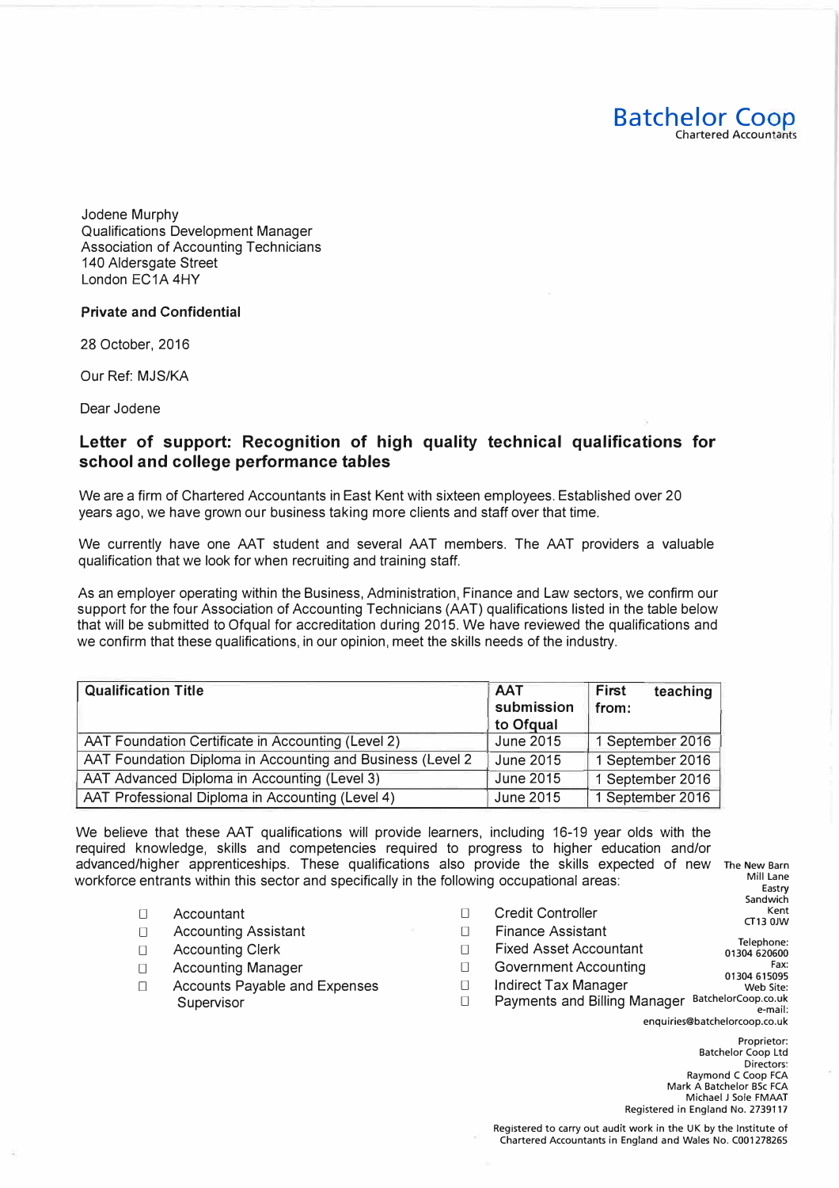Jodene Murphy Qualifications Development Manager Association of Accounting Technicians 140 Aldersgate Street London EC1A 4HY

## **Private and Confidential**

28 October, 2016

Our Ref: MJS/KA

Dear Jodene

## **Letter of support: Recognition of high quality technical qualifications for school and college performance tables**

We are a firm of Chartered Accountants in East Kent with sixteen employees. Established over 20 years ago, we have grown our business taking more clients and staff over that time.

We currently have one AAT student and several AAT members. The AAT providers a valuable qualification that we look for when recruiting and training staff.

As an employer operating within the Business, Administration, Finance and Law sectors, we confirm our support for the four Association of Accounting Technicians (AAT) qualifications listed in the table below that will be submitted to Ofqual for accreditation during 2015. We have reviewed the qualifications and we confirm that these qualifications, in our opinion, meet the skills needs of the industry.

| <b>Qualification Title</b>                                  | <b>AAT</b><br>submission<br>to Ofqual | teaching<br>First<br>from: |
|-------------------------------------------------------------|---------------------------------------|----------------------------|
| AAT Foundation Certificate in Accounting (Level 2)          | June 2015                             | 1 September 2016           |
| AAT Foundation Diploma in Accounting and Business (Level 2) | June 2015                             | 1 September 2016           |
| AAT Advanced Diploma in Accounting (Level 3)                | <b>June 2015</b>                      | 1 September 2016           |
| AAT Professional Diploma in Accounting (Level 4)            | June 2015                             | 1 September 2016           |

We believe that these AAT qualifications will provide learners, including 16-19 year olds with the required knowledge, skills and competencies required to progress to higher education and/or advanced/higher apprenticeships. These qualifications also provide the skills expected of new The New Barn workforce entrants within this sector and specifically in the following occupational areas: Mill Lane

- D Accountant
- D Accounting Assistant
- D Accounting Clerk
- D Accounting Manager
- D Accounts Payable and Expenses Supervisor Desertion Desertion Desertion Desertion Desertion Desertion Desertion Desertion Desertion Desertion D
- $\Box$  $\Box$  $\Box$ Credit Controller Finance Assistant Fixed Asset Accountant Sandwich CT13 OJW Telephone: 01304 620600
- $\Box$ Fax: 01304 615095 Government Accounting
- $\Box$ Web Site: Indirect Tax Manager
	- Payments and Billing Manager BatchelorCoop.co.uk e-mail: enquiries@batchelorcoop.co.uk

Proprietor: Batchelor Coop Ltd Directors: Raymond C Coop FCA Mark A Batchelor BSc FCA Michael J Sole FMAAT Registered in England No. 2739117

Eastry

Kent

**Batchelor Coop** 

Chartered Accountants